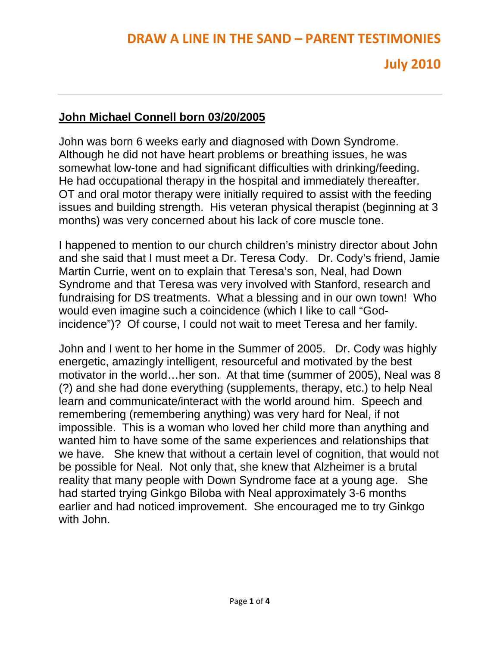# **July 2010**

#### **John Michael Connell born 03/20/2005**

John was born 6 weeks early and diagnosed with Down Syndrome. Although he did not have heart problems or breathing issues, he was somewhat low-tone and had significant difficulties with drinking/feeding. He had occupational therapy in the hospital and immediately thereafter. OT and oral motor therapy were initially required to assist with the feeding issues and building strength. His veteran physical therapist (beginning at 3 months) was very concerned about his lack of core muscle tone.

I happened to mention to our church children's ministry director about John and she said that I must meet a Dr. Teresa Cody. Dr. Cody's friend, Jamie Martin Currie, went on to explain that Teresa's son, Neal, had Down Syndrome and that Teresa was very involved with Stanford, research and fundraising for DS treatments. What a blessing and in our own town! Who would even imagine such a coincidence (which I like to call "Godincidence")? Of course, I could not wait to meet Teresa and her family.

John and I went to her home in the Summer of 2005. Dr. Cody was highly energetic, amazingly intelligent, resourceful and motivated by the best motivator in the world…her son. At that time (summer of 2005), Neal was 8 (?) and she had done everything (supplements, therapy, etc.) to help Neal learn and communicate/interact with the world around him. Speech and remembering (remembering anything) was very hard for Neal, if not impossible. This is a woman who loved her child more than anything and wanted him to have some of the same experiences and relationships that we have. She knew that without a certain level of cognition, that would not be possible for Neal. Not only that, she knew that Alzheimer is a brutal reality that many people with Down Syndrome face at a young age. She had started trying Ginkgo Biloba with Neal approximately 3-6 months earlier and had noticed improvement. She encouraged me to try Ginkgo with John.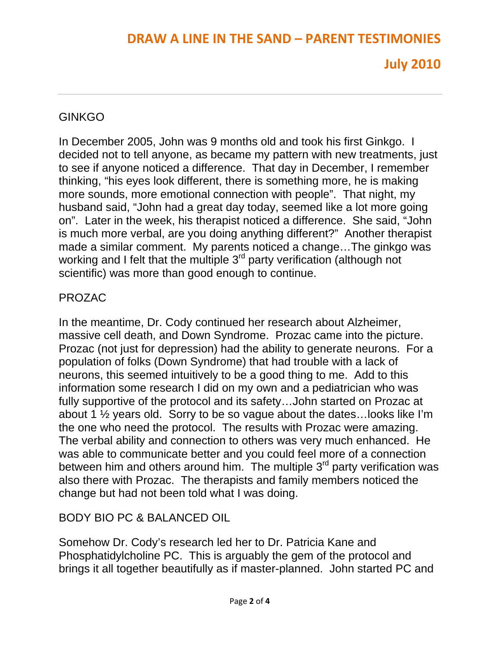## **DRAW A LINE IN THE SAND – PARENT TESTIMONIES**

# **July 2010**

### GINKGO

In December 2005, John was 9 months old and took his first Ginkgo. I decided not to tell anyone, as became my pattern with new treatments, just to see if anyone noticed a difference. That day in December, I remember thinking, "his eyes look different, there is something more, he is making more sounds, more emotional connection with people". That night, my husband said, "John had a great day today, seemed like a lot more going on". Later in the week, his therapist noticed a difference. She said, "John is much more verbal, are you doing anything different?" Another therapist made a similar comment. My parents noticed a change…The ginkgo was working and I felt that the multiple 3<sup>rd</sup> party verification (although not scientific) was more than good enough to continue.

### PROZAC

In the meantime, Dr. Cody continued her research about Alzheimer, massive cell death, and Down Syndrome. Prozac came into the picture. Prozac (not just for depression) had the ability to generate neurons. For a population of folks (Down Syndrome) that had trouble with a lack of neurons, this seemed intuitively to be a good thing to me. Add to this information some research I did on my own and a pediatrician who was fully supportive of the protocol and its safety…John started on Prozac at about 1 ½ years old. Sorry to be so vague about the dates…looks like I'm the one who need the protocol. The results with Prozac were amazing. The verbal ability and connection to others was very much enhanced. He was able to communicate better and you could feel more of a connection between him and others around him. The multiple  $3<sup>rd</sup>$  party verification was also there with Prozac. The therapists and family members noticed the change but had not been told what I was doing.

### BODY BIO PC & BALANCED OIL

Somehow Dr. Cody's research led her to Dr. Patricia Kane and Phosphatidylcholine PC. This is arguably the gem of the protocol and brings it all together beautifully as if master-planned. John started PC and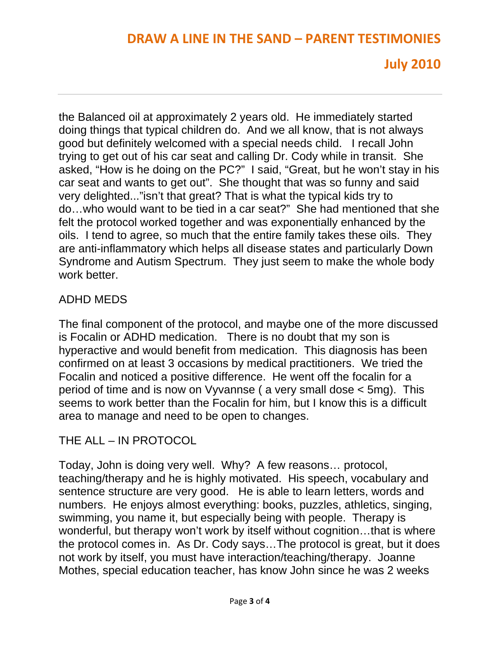### **DRAW A LINE IN THE SAND – PARENT TESTIMONIES**

## **July 2010**

the Balanced oil at approximately 2 years old. He immediately started doing things that typical children do. And we all know, that is not always good but definitely welcomed with a special needs child. I recall John trying to get out of his car seat and calling Dr. Cody while in transit. She asked, "How is he doing on the PC?" I said, "Great, but he won't stay in his car seat and wants to get out". She thought that was so funny and said very delighted..."isn't that great? That is what the typical kids try to do…who would want to be tied in a car seat?" She had mentioned that she felt the protocol worked together and was exponentially enhanced by the oils. I tend to agree, so much that the entire family takes these oils. They are anti-inflammatory which helps all disease states and particularly Down Syndrome and Autism Spectrum. They just seem to make the whole body work better.

### ADHD MEDS

The final component of the protocol, and maybe one of the more discussed is Focalin or ADHD medication. There is no doubt that my son is hyperactive and would benefit from medication. This diagnosis has been confirmed on at least 3 occasions by medical practitioners. We tried the Focalin and noticed a positive difference. He went off the focalin for a period of time and is now on Vyvannse ( a very small dose < 5mg). This seems to work better than the Focalin for him, but I know this is a difficult area to manage and need to be open to changes.

### THE ALL – IN PROTOCOL

Today, John is doing very well. Why? A few reasons… protocol, teaching/therapy and he is highly motivated. His speech, vocabulary and sentence structure are very good. He is able to learn letters, words and numbers. He enjoys almost everything: books, puzzles, athletics, singing, swimming, you name it, but especially being with people. Therapy is wonderful, but therapy won't work by itself without cognition…that is where the protocol comes in. As Dr. Cody says…The protocol is great, but it does not work by itself, you must have interaction/teaching/therapy. Joanne Mothes, special education teacher, has know John since he was 2 weeks